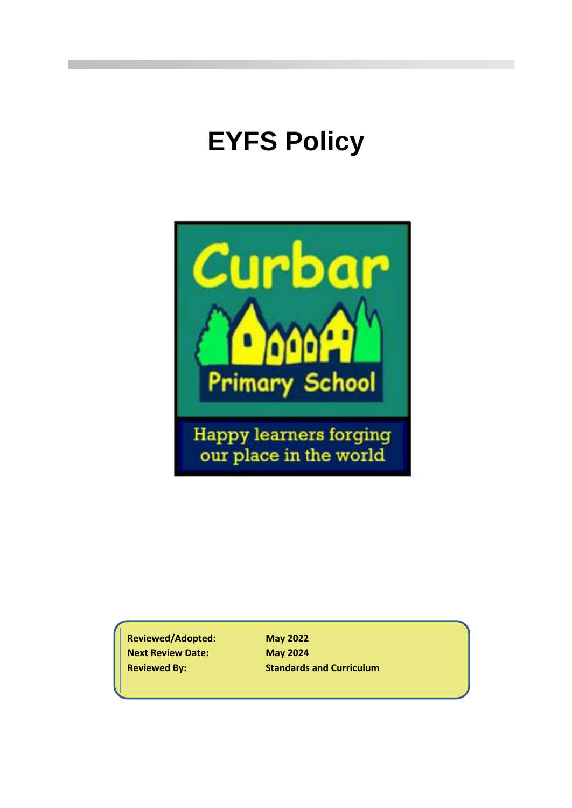# **EYFS Policy**



**Reviewed/Adopted: May 2022 Next Review Date: May 2024**

**Reviewed By: Standards and Curriculum**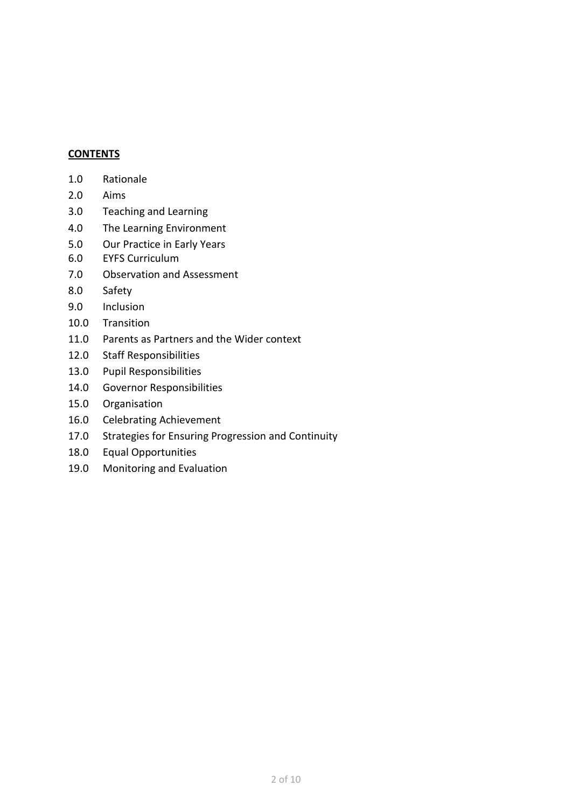#### **CONTENTS**

- 2.0 Aims
- 3.0 Teaching and Learning
- 4.0 The Learning Environment
- 5.0 Our Practice in Early Years
- 6.0 EYFS Curriculum
- 7.0 Observation and Assessment
- 8.0 Safety
- 9.0 Inclusion
- 10.0 Transition
- 11.0 Parents as Partners and the Wider context
- 12.0 Staff Responsibilities
- 13.0 Pupil Responsibilities
- 14.0 Governor Responsibilities
- 15.0 Organisation
- 16.0 Celebrating Achievement
- 17.0 Strategies for Ensuring Progression and Continuity
- 18.0 Equal Opportunities
- 19.0 Monitoring and Evaluation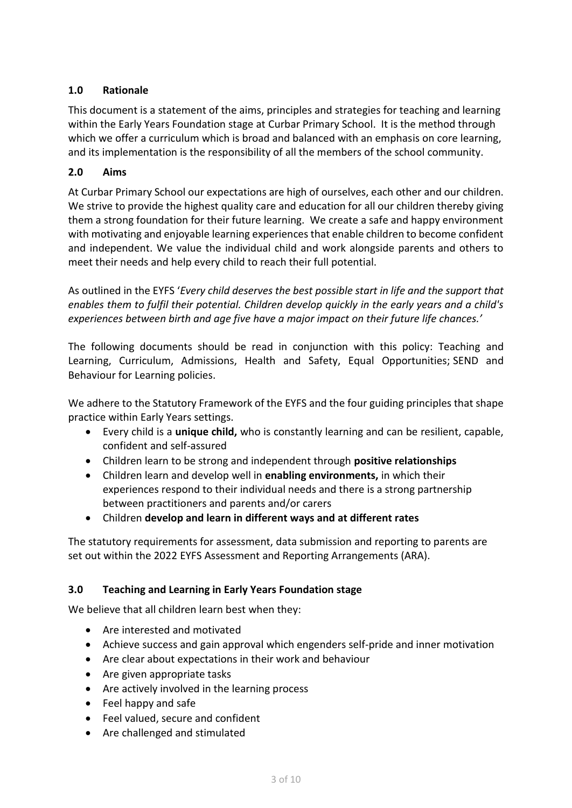## **1.0 Rationale**

This document is a statement of the aims, principles and strategies for teaching and learning within the Early Years Foundation stage at Curbar Primary School. It is the method through which we offer a curriculum which is broad and balanced with an emphasis on core learning, and its implementation is the responsibility of all the members of the school community.

## **2.0 Aims**

At Curbar Primary School our expectations are high of ourselves, each other and our children. We strive to provide the highest quality care and education for all our children thereby giving them a strong foundation for their future learning. We create a safe and happy environment with motivating and enjoyable learning experiences that enable children to become confident and independent. We value the individual child and work alongside parents and others to meet their needs and help every child to reach their full potential.

As outlined in the EYFS '*Every child deserves the best possible start in life and the support that enables them to fulfil their potential. Children develop quickly in the early years and a child's experiences between birth and age five have a major impact on their future life chances.'*

The following documents should be read in conjunction with this policy: Teaching and Learning, Curriculum, Admissions, Health and Safety, Equal Opportunities; SEND and Behaviour for Learning policies.

We adhere to the Statutory Framework of the EYFS and the four guiding principles that shape practice within Early Years settings.

- Every child is a **unique child,** who is constantly learning and can be resilient, capable, confident and self-assured
- Children learn to be strong and independent through **positive relationships**
- Children learn and develop well in **enabling environments,** in which their experiences respond to their individual needs and there is a strong partnership between practitioners and parents and/or carers
- Children **develop and learn in different ways and at different rates**

The statutory requirements for assessment, data submission and reporting to parents are set out within the 2022 EYFS Assessment and Reporting Arrangements (ARA).

## **3.0 Teaching and Learning in Early Years Foundation stage**

We believe that all children learn best when they:

- Are interested and motivated
- Achieve success and gain approval which engenders self-pride and inner motivation
- Are clear about expectations in their work and behaviour
- Are given appropriate tasks
- Are actively involved in the learning process
- Feel happy and safe
- Feel valued, secure and confident
- Are challenged and stimulated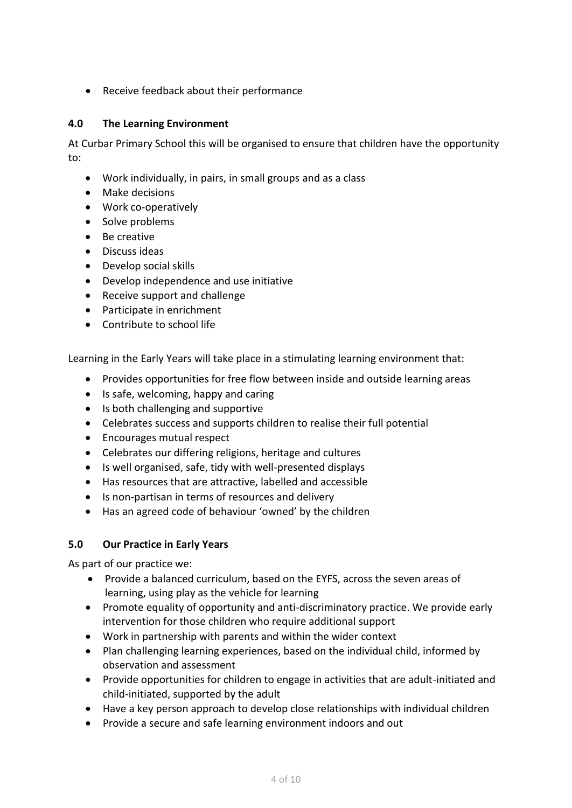• Receive feedback about their performance

## **4.0 The Learning Environment**

At Curbar Primary School this will be organised to ensure that children have the opportunity to:

- Work individually, in pairs, in small groups and as a class
- Make decisions
- Work co-operatively
- Solve problems
- Be creative
- Discuss ideas
- Develop social skills
- Develop independence and use initiative
- Receive support and challenge
- Participate in enrichment
- Contribute to school life

Learning in the Early Years will take place in a stimulating learning environment that:

- Provides opportunities for free flow between inside and outside learning areas
- Is safe, welcoming, happy and caring
- Is both challenging and supportive
- Celebrates success and supports children to realise their full potential
- Encourages mutual respect
- Celebrates our differing religions, heritage and cultures
- Is well organised, safe, tidy with well-presented displays
- Has resources that are attractive, labelled and accessible
- Is non-partisan in terms of resources and delivery
- Has an agreed code of behaviour 'owned' by the children

## **5.0 Our Practice in Early Years**

As part of our practice we:

- Provide a balanced curriculum, based on the EYFS, across the seven areas of learning, using play as the vehicle for learning
- Promote equality of opportunity and anti-discriminatory practice. We provide early intervention for those children who require additional support
- Work in partnership with parents and within the wider context
- Plan challenging learning experiences, based on the individual child, informed by observation and assessment
- Provide opportunities for children to engage in activities that are adult-initiated and child-initiated, supported by the adult
- Have a key person approach to develop close relationships with individual children
- Provide a secure and safe learning environment indoors and out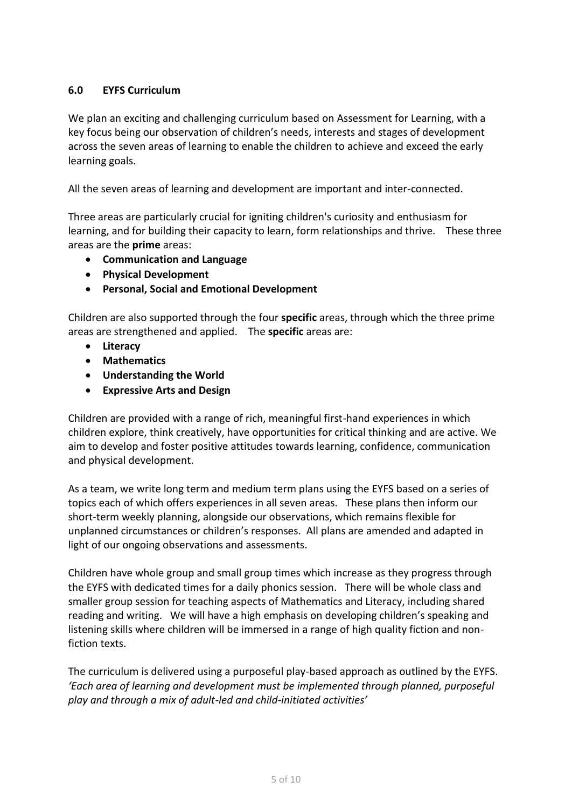## **6.0 EYFS Curriculum**

We plan an exciting and challenging curriculum based on Assessment for Learning, with a key focus being our observation of children's needs, interests and stages of development across the seven areas of learning to enable the children to achieve and exceed the early learning goals.

All the seven areas of learning and development are important and inter-connected.

Three areas are particularly crucial for igniting children's curiosity and enthusiasm for learning, and for building their capacity to learn, form relationships and thrive. These three areas are the **prime** areas:

- **Communication and Language**
- **Physical Development**
- **Personal, Social and Emotional Development**

Children are also supported through the four **specific** areas, through which the three prime areas are strengthened and applied. The **specific** areas are:

- **Literacy**
- **Mathematics**
- **Understanding the World**
- **Expressive Arts and Design**

Children are provided with a range of rich, meaningful first-hand experiences in which children explore, think creatively, have opportunities for critical thinking and are active. We aim to develop and foster positive attitudes towards learning, confidence, communication and physical development.

As a team, we write long term and medium term plans using the EYFS based on a series of topics each of which offers experiences in all seven areas. These plans then inform our short-term weekly planning, alongside our observations, which remains flexible for unplanned circumstances or children's responses. All plans are amended and adapted in light of our ongoing observations and assessments.

Children have whole group and small group times which increase as they progress through the EYFS with dedicated times for a daily phonics session. There will be whole class and smaller group session for teaching aspects of Mathematics and Literacy, including shared reading and writing. We will have a high emphasis on developing children's speaking and listening skills where children will be immersed in a range of high quality fiction and nonfiction texts.

The curriculum is delivered using a purposeful play-based approach as outlined by the EYFS. *'Each area of learning and development must be implemented through planned, purposeful play and through a mix of adult-led and child-initiated activities'*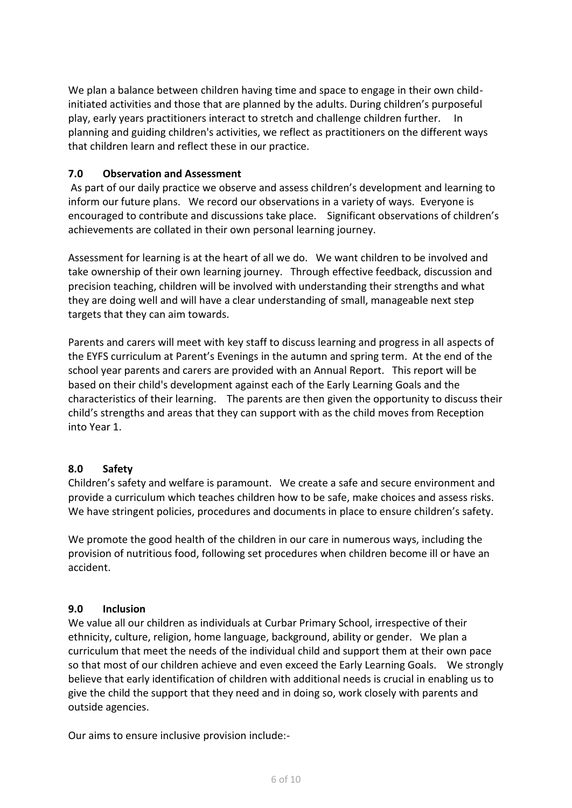We plan a balance between children having time and space to engage in their own childinitiated activities and those that are planned by the adults. During children's purposeful play, early years practitioners interact to stretch and challenge children further. In planning and guiding children's activities, we reflect as practitioners on the different ways that children learn and reflect these in our practice.

## **7.0 Observation and Assessment**

As part of our daily practice we observe and assess children's development and learning to inform our future plans. We record our observations in a variety of ways. Everyone is encouraged to contribute and discussions take place. Significant observations of children's achievements are collated in their own personal learning journey.

Assessment for learning is at the heart of all we do. We want children to be involved and take ownership of their own learning journey. Through effective feedback, discussion and precision teaching, children will be involved with understanding their strengths and what they are doing well and will have a clear understanding of small, manageable next step targets that they can aim towards.

Parents and carers will meet with key staff to discuss learning and progress in all aspects of the EYFS curriculum at Parent's Evenings in the autumn and spring term. At the end of the school year parents and carers are provided with an Annual Report. This report will be based on their child's development against each of the Early Learning Goals and the characteristics of their learning. The parents are then given the opportunity to discuss their child's strengths and areas that they can support with as the child moves from Reception into Year 1.

## **8.0 Safety**

Children's safety and welfare is paramount. We create a safe and secure environment and provide a curriculum which teaches children how to be safe, make choices and assess risks. We have stringent policies, procedures and documents in place to ensure children's safety.

We promote the good health of the children in our care in numerous ways, including the provision of nutritious food, following set procedures when children become ill or have an accident.

#### **9.0 Inclusion**

We value all our children as individuals at Curbar Primary School, irrespective of their ethnicity, culture, religion, home language, background, ability or gender. We plan a curriculum that meet the needs of the individual child and support them at their own pace so that most of our children achieve and even exceed the Early Learning Goals. We strongly believe that early identification of children with additional needs is crucial in enabling us to give the child the support that they need and in doing so, work closely with parents and outside agencies.

Our aims to ensure inclusive provision include:-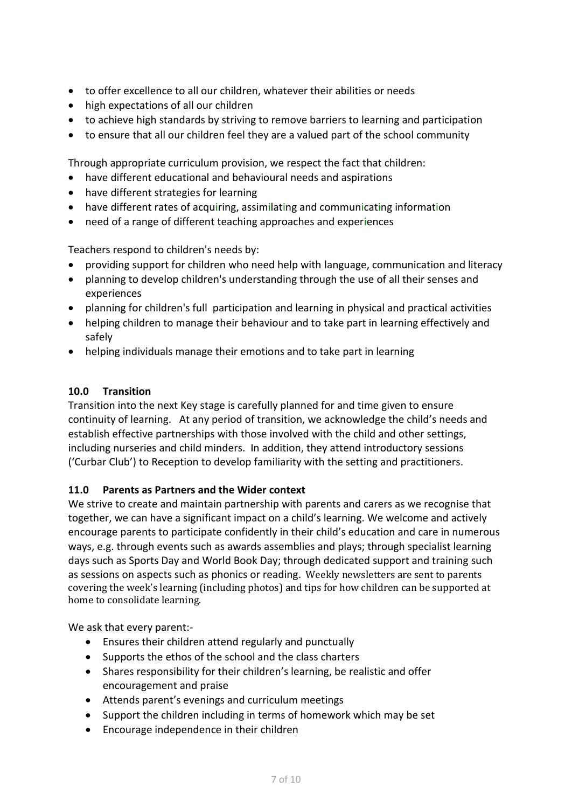- to offer excellence to all our children, whatever their abilities or needs
- high expectations of all our children
- to achieve high standards by striving to remove barriers to learning and participation
- to ensure that all our children feel they are a valued part of the school community

Through appropriate curriculum provision, we respect the fact that children:

- have different educational and behavioural needs and aspirations
- have different strategies for learning
- have different rates of acquiring, assimilating and communicating information
- need of a range of different teaching approaches and experiences

Teachers respond to children's needs by:

- providing support for children who need help with language, communication and literacy
- planning to develop children's understanding through the use of all their senses and experiences
- planning for children's full participation and learning in physical and practical activities
- helping children to manage their behaviour and to take part in learning effectively and safely
- helping individuals manage their emotions and to take part in learning

#### **10.0 Transition**

Transition into the next Key stage is carefully planned for and time given to ensure continuity of learning. At any period of transition, we acknowledge the child's needs and establish effective partnerships with those involved with the child and other settings, including nurseries and child minders. In addition, they attend introductory sessions ('Curbar Club') to Reception to develop familiarity with the setting and practitioners.

## **11.0 Parents as Partners and the Wider context**

We strive to create and maintain partnership with parents and carers as we recognise that together, we can have a significant impact on a child's learning. We welcome and actively encourage parents to participate confidently in their child's education and care in numerous ways, e.g. through events such as awards assemblies and plays; through specialist learning days such as Sports Day and World Book Day; through dedicated support and training such as sessions on aspects such as phonics or reading. Weekly newsletters are sent to parents covering the week's learning (including photos) and tips for how children can be supported at home to consolidate learning.

We ask that every parent:-

- Ensures their children attend regularly and punctually
- Supports the ethos of the school and the class charters
- Shares responsibility for their children's learning, be realistic and offer encouragement and praise
- Attends parent's evenings and curriculum meetings
- Support the children including in terms of homework which may be set
- Encourage independence in their children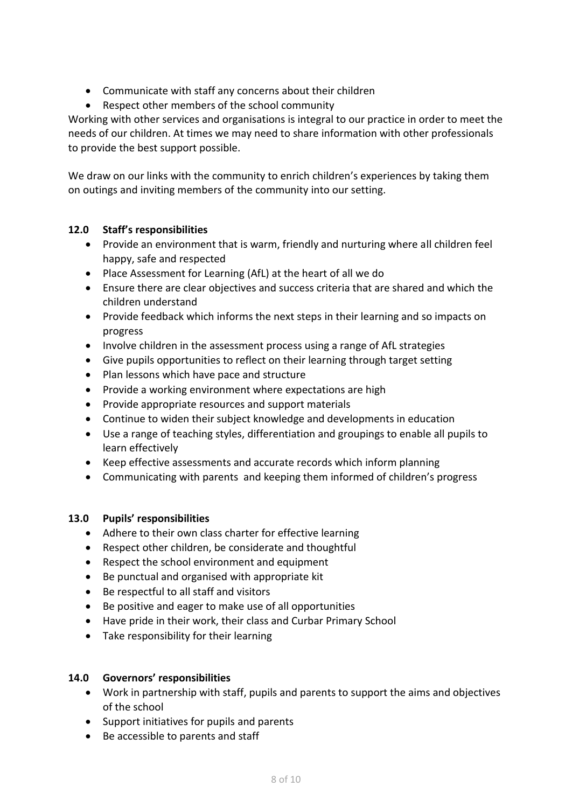- Communicate with staff any concerns about their children
- Respect other members of the school community

Working with other services and organisations is integral to our practice in order to meet the needs of our children. At times we may need to share information with other professionals to provide the best support possible.

We draw on our links with the community to enrich children's experiences by taking them on outings and inviting members of the community into our setting.

## **12.0 Staff's responsibilities**

- Provide an environment that is warm, friendly and nurturing where all children feel happy, safe and respected
- Place Assessment for Learning (AfL) at the heart of all we do
- Ensure there are clear objectives and success criteria that are shared and which the children understand
- Provide feedback which informs the next steps in their learning and so impacts on progress
- Involve children in the assessment process using a range of AfL strategies
- Give pupils opportunities to reflect on their learning through target setting
- Plan lessons which have pace and structure
- Provide a working environment where expectations are high
- Provide appropriate resources and support materials
- Continue to widen their subject knowledge and developments in education
- Use a range of teaching styles, differentiation and groupings to enable all pupils to learn effectively
- Keep effective assessments and accurate records which inform planning
- Communicating with parents and keeping them informed of children's progress

## **13.0 Pupils' responsibilities**

- Adhere to their own class charter for effective learning
- Respect other children, be considerate and thoughtful
- Respect the school environment and equipment
- Be punctual and organised with appropriate kit
- Be respectful to all staff and visitors
- Be positive and eager to make use of all opportunities
- Have pride in their work, their class and Curbar Primary School
- Take responsibility for their learning

## **14.0 Governors' responsibilities**

- Work in partnership with staff, pupils and parents to support the aims and objectives of the school
- Support initiatives for pupils and parents
- Be accessible to parents and staff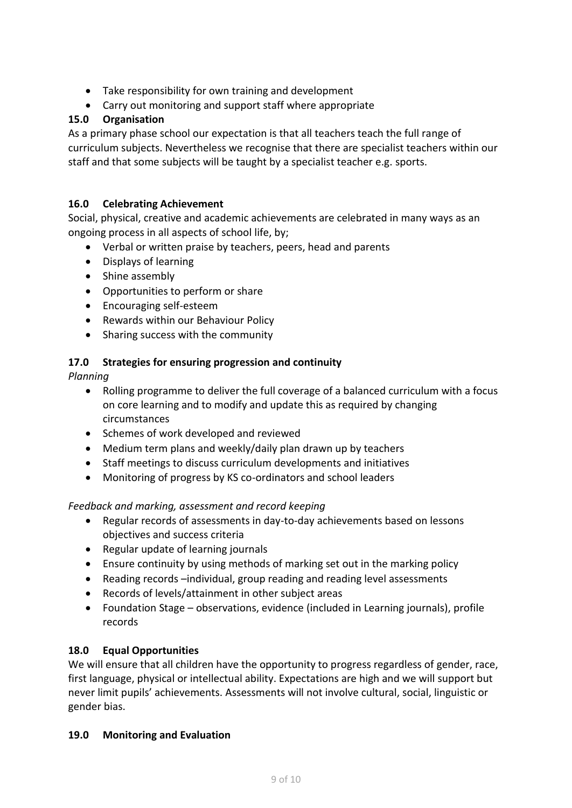- Take responsibility for own training and development
- Carry out monitoring and support staff where appropriate

# **15.0 Organisation**

As a primary phase school our expectation is that all teachers teach the full range of curriculum subjects. Nevertheless we recognise that there are specialist teachers within our staff and that some subjects will be taught by a specialist teacher e.g. sports.

# **16.0 Celebrating Achievement**

Social, physical, creative and academic achievements are celebrated in many ways as an ongoing process in all aspects of school life, by;

- Verbal or written praise by teachers, peers, head and parents
- Displays of learning
- Shine assembly
- Opportunities to perform or share
- Encouraging self-esteem
- Rewards within our Behaviour Policy
- Sharing success with the community

## **17.0 Strategies for ensuring progression and continuity**

*Planning*

- Rolling programme to deliver the full coverage of a balanced curriculum with a focus on core learning and to modify and update this as required by changing circumstances
- Schemes of work developed and reviewed
- Medium term plans and weekly/daily plan drawn up by teachers
- Staff meetings to discuss curriculum developments and initiatives
- Monitoring of progress by KS co-ordinators and school leaders

## *Feedback and marking, assessment and record keeping*

- Regular records of assessments in day-to-day achievements based on lessons objectives and success criteria
- Regular update of learning journals
- Ensure continuity by using methods of marking set out in the marking policy
- Reading records -individual, group reading and reading level assessments
- Records of levels/attainment in other subject areas
- Foundation Stage observations, evidence (included in Learning journals), profile records

## **18.0 Equal Opportunities**

We will ensure that all children have the opportunity to progress regardless of gender, race, first language, physical or intellectual ability. Expectations are high and we will support but never limit pupils' achievements. Assessments will not involve cultural, social, linguistic or gender bias.

## **19.0 Monitoring and Evaluation**